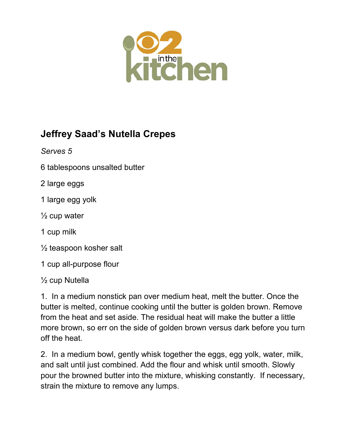

## **Jeffrey Saad's Nutella Crepes**

*Serves 5*

6 tablespoons unsalted butter

2 large eggs

- 1 large egg yolk
- $\frac{1}{2}$  cup water
- 1 cup milk
- ½ teaspoon kosher salt
- 1 cup all-purpose flour
- ½ cup Nutella

1. In a medium nonstick pan over medium heat, melt the butter. Once the butter is melted, continue cooking until the butter is golden brown. Remove from the heat and set aside. The residual heat will make the butter a little more brown, so err on the side of golden brown versus dark before you turn off the heat.

2. In a medium bowl, gently whisk together the eggs, egg yolk, water, milk, and salt until just combined. Add the flour and whisk until smooth. Slowly pour the browned butter into the mixture, whisking constantly. If necessary, strain the mixture to remove any lumps.